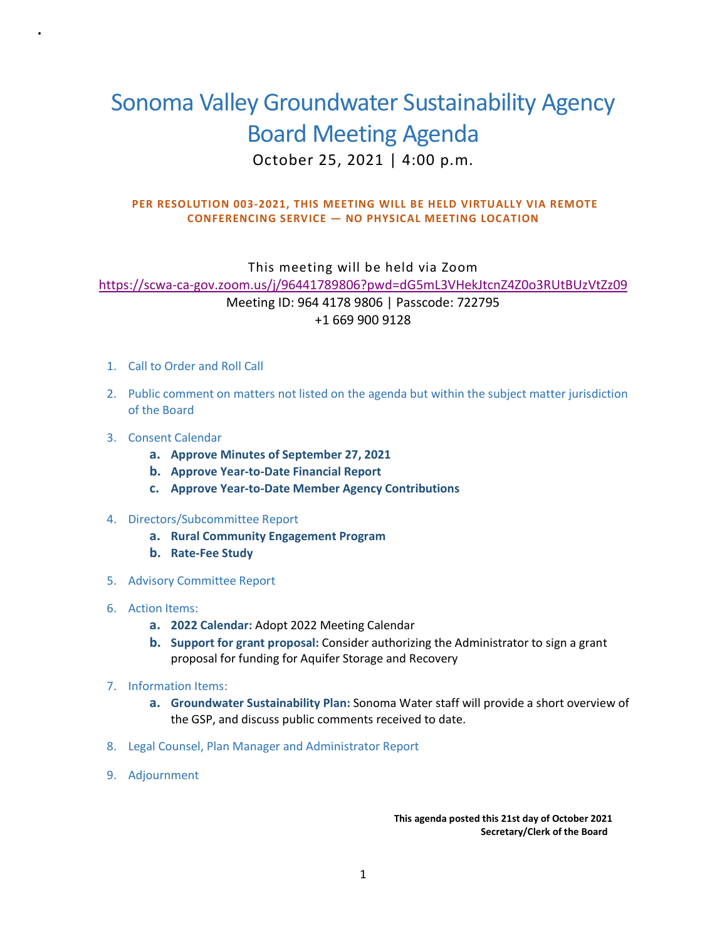## Sonoma Valley Groundwater Sustainability Agency Board Meeting Agenda October 25, 2021 | 4:00 p.m.

## **PER RESOLUTION 003-2021, THIS MEETING WILL BE HELD VIRTUALLY VIA REMOTE CONFERENCING SERVICE — NO PHYSICAL MEETING LOCATION**

This meeting will be held via Zoom [https://scwa-ca-gov.zoom.us/j/96441789806?pwd=dG5mL3VHekJtcnZ4Z0o3RUtBUzVtZz09](https://gcc02.safelinks.protection.outlook.com/?url=https%3A%2F%2Fscwa-ca-gov.zoom.us%2Fj%2F96441789806%3Fpwd%3DdG5mL3VHekJtcnZ4Z0o3RUtBUzVtZz09&data=04%7C01%7CAnn.DuBay%40scwa.ca.gov%7C77dfb5d20ec4467c10f208d8803827b6%7Cc93b7179f57841648fe1c2704c730887%7C0%7C0%7C637400325963759943%7CUnknown%7CTWFpbGZsb3d8eyJWIjoiMC4wLjAwMDAiLCJQIjoiV2luMzIiLCJBTiI6Ik1haWwiLCJXVCI6Mn0%3D%7C1000&sdata=T%2BpMCWldxueVEasH%2FW96BMqBq5rWcWStDFtz7dveYik%3D&reserved=0) Meeting ID: 964 4178 9806 | Passcode: 722795 +1 669 900 9128

- 1. Call to Order and Roll Call
- 2. Public comment on matters not listed on the agenda but within the subject matter jurisdiction of the Board
- 3. Consent Calendar

.

- **a. Approve Minutes of September 27, 2021**
- **b. Approve Year-to-Date Financial Report**
- **c. Approve Year-to-Date Member Agency Contributions**
- 4. Directors/Subcommittee Report
	- **a. Rural Community Engagement Program**
	- **b. Rate-Fee Study**
- 5. Advisory Committee Report
- 6. Action Items:
	- **a. 2022 Calendar:** Adopt 2022 Meeting Calendar
	- **b. Support for grant proposal:** Consider authorizing the Administrator to sign a grant proposal for funding for Aquifer Storage and Recovery
- 7. Information Items:
	- **a. Groundwater Sustainability Plan:** Sonoma Water staff will provide a short overview of the GSP, and discuss public comments received to date.
- 8. Legal Counsel, Plan Manager and Administrator Report
- 9. Adjournment

 **This agenda posted this 21st day of October 2021 Secretary/Clerk of the Board**